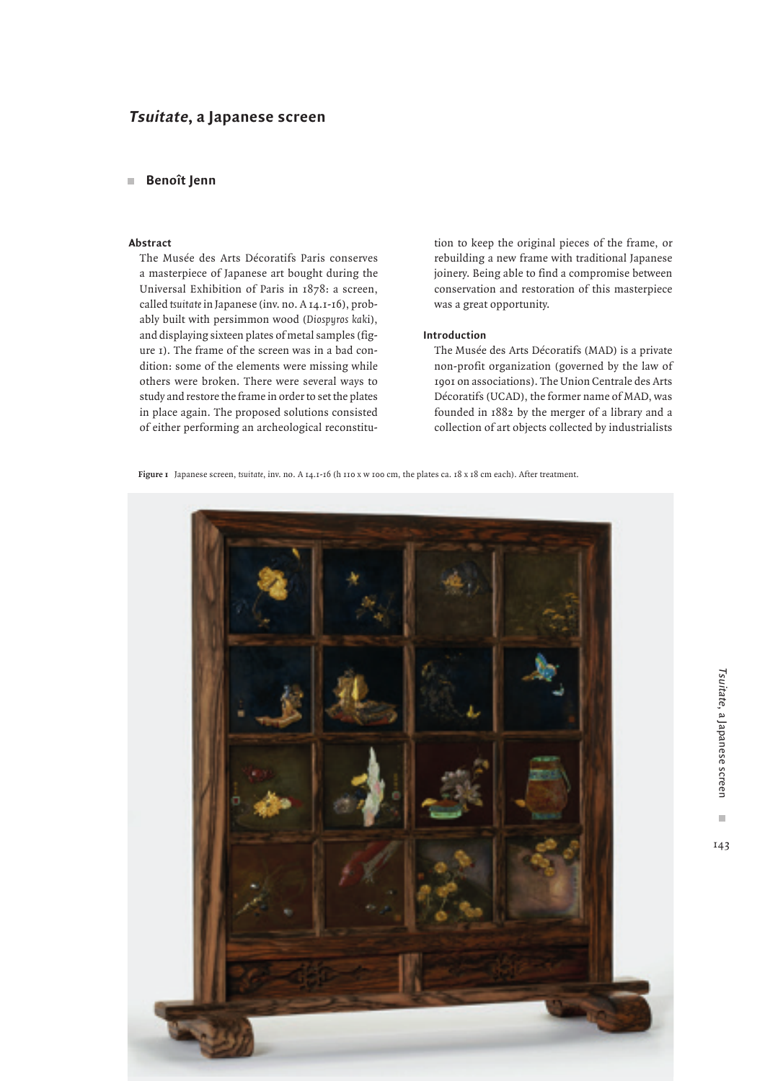# **Tsuitate, a Japanese screen**

# **Benoît Jenn**

# **Abstract**

The Musée des Arts Décoratifs Paris conserves a masterpiece of Japanese art bought during the Universal Exhibition of Paris in 1878: a screen, called *tsuitate* in Japanese (inv. no. A 14.1-16), probably built with persimmon wood (*Diospyros kak*i), and displaying sixteen plates of metal samples (figure 1). The frame of the screen was in a bad condition: some of the elements were missing while others were broken. There were several ways to study and restore the frame in order to set the plates in place again. The proposed solutions consisted of either performing an archeological reconstitution to keep the original pieces of the frame, or rebuilding a new frame with traditional Japanese joinery. Being able to find a compromise between conservation and restoration of this masterpiece was a great opportunity.

## **Introduction**

The Musée des Arts Décoratifs (MAD) is a private non-profit organization (governed by the law of 1901 on associations). The Union Centrale des Arts Décoratifs (UCAD), the former name of MAD, was founded in 1882 by the merger of a library and a collection of art objects collected by industrialists

**Figure 1** Japanese screen, *tsuitate*, inv. no. A 14.1-16 (h 110 x w 100 cm, the plates ca. 18 x 18 cm each). After treatment.

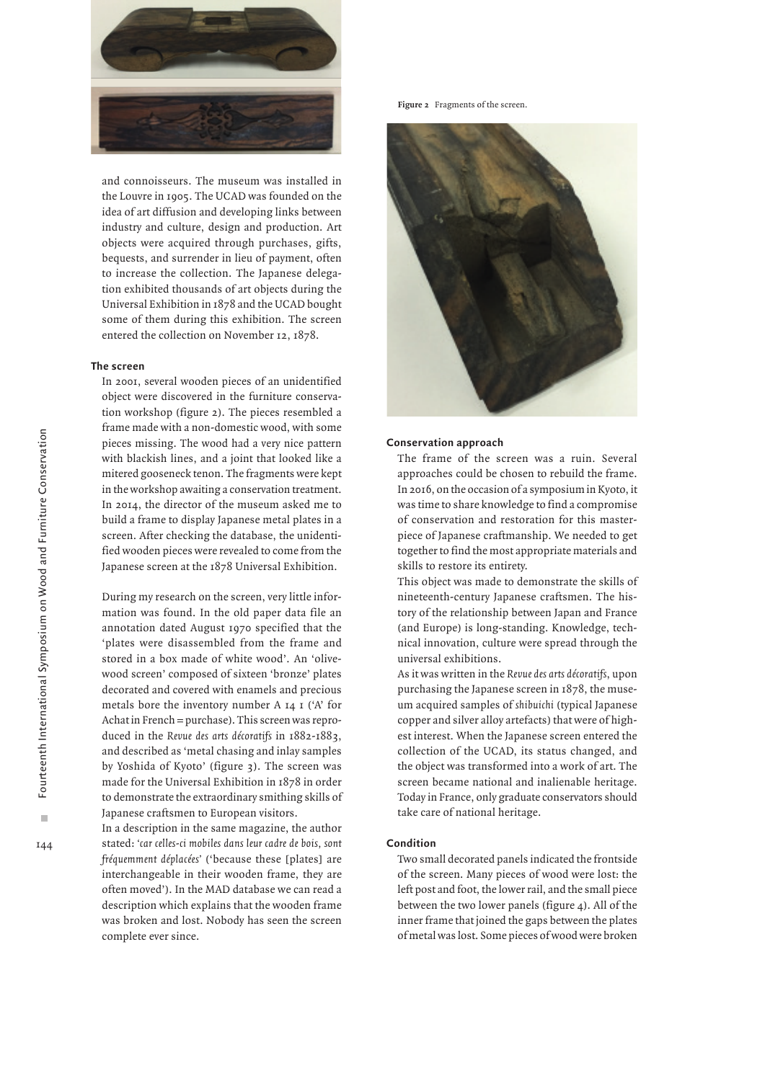

and connoisseurs. The museum was installed in the Louvre in 1905. The UCAD was founded on the idea of art diffusion and developing links between industry and culture, design and production. Art objects were acquired through purchases, gifts, bequests, and surrender in lieu of payment, often to increase the collection. The Japanese delegation exhibited thousands of art objects during the Universal Exhibition in 1878 and the UCAD bought some of them during this exhibition. The screen entered the collection on November 12, 1878.

## **The screen**

In 2001, several wooden pieces of an unidentified object were discovered in the furniture conservation workshop (figure 2). The pieces resembled a frame made with a non-domestic wood, with some pieces missing. The wood had a very nice pattern with blackish lines, and a joint that looked like a mitered gooseneck tenon. The fragments were kept in the workshop awaiting a conservation treatment. In 2014, the director of the museum asked me to build a frame to display Japanese metal plates in a screen. After checking the database, the unidentified wooden pieces were revealed to come from the Japanese screen at the 1878 Universal Exhibition.

During my research on the screen, very little information was found. In the old paper data file an annotation dated August 1970 specified that the 'plates were disassembled from the frame and stored in a box made of white wood'. An 'olivewood screen' composed of sixteen 'bronze' plates decorated and covered with enamels and precious metals bore the inventory number A 14 1 ('A' for Achat in French = purchase). This screen was reproduced in the *Revue des arts décoratifs* in 1882-1883, and described as 'metal chasing and inlay samples by Yoshida of Kyoto' (figure 3). The screen was made for the Universal Exhibition in 1878 in order to demonstrate the extraordinary smithing skills of Japanese craftsmen to European visitors.

In a description in the same magazine, the author stated: *'car celles-ci mobiles dans leur cadre de bois, sont fréquemment déplacées'* ('because these [plates] are interchangeable in their wooden frame, they are often moved'). In the MAD database we can read a description which explains that the wooden frame was broken and lost. Nobody has seen the screen complete ever since.

Figure 2 Fragments of the screen.



#### **Conservation approach**

The frame of the screen was a ruin. Several approaches could be chosen to rebuild the frame. In 2016, on the occasion of a symposium in Kyoto, it was time to share knowledge to find a compromise of conservation and restoration for this masterpiece of Japanese craftmanship. We needed to get together to find the most appropriate materials and skills to restore its entirety.

This object was made to demonstrate the skills of nineteenth-century Japanese craftsmen. The history of the relationship between Japan and France (and Europe) is long-standing. Knowledge, technical innovation, culture were spread through the universal exhibitions.

As it was written in the *Revue des arts décoratifs*, upon purchasing the Japanese screen in 1878, the museum acquired samples of *shibuichi* (typical Japanese copper and silver alloy artefacts) that were of highest interest. When the Japanese screen entered the collection of the UCAD, its status changed, and the object was transformed into a work of art. The screen became national and inalienable heritage. Today in France, only graduate conservators should take care of national heritage.

#### **Condition**

Two small decorated panels indicated the frontside of the screen. Many pieces of wood were lost: the left post and foot, the lower rail, and the small piece between the two lower panels (figure 4). All of the inner frame that joined the gaps between the plates of metal was lost. Some pieces of wood were broken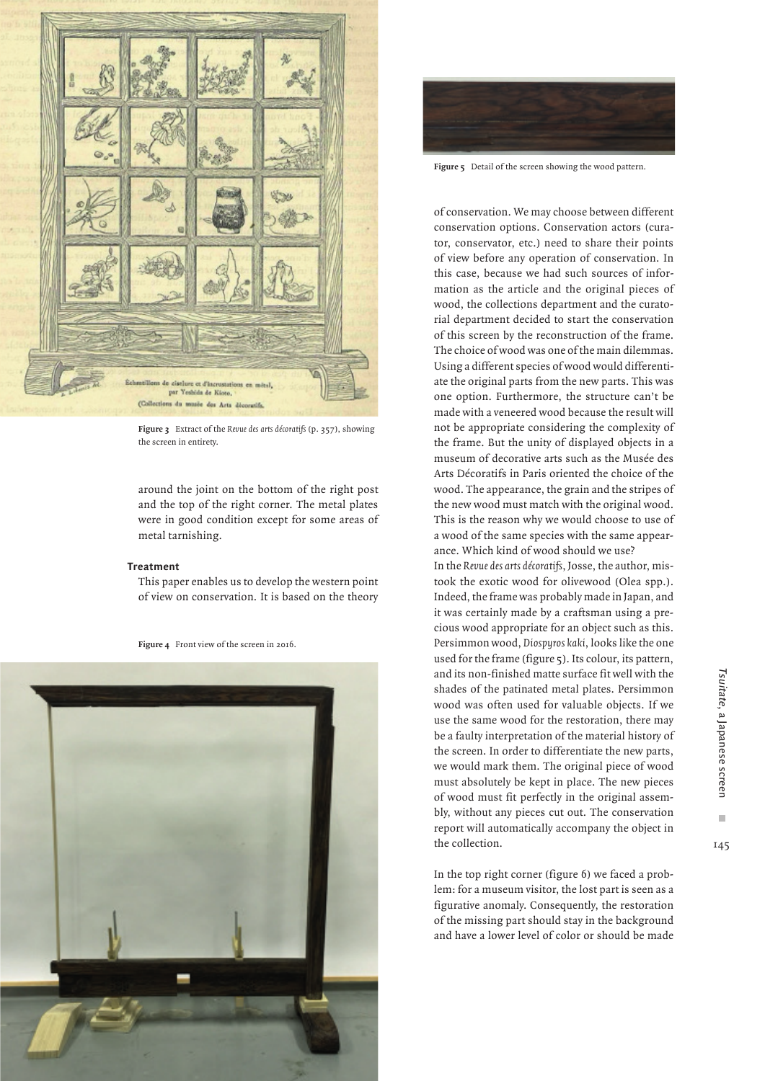

**Figure 3** Extract of the *Revue des arts décoratifs* (p. 357), showing the screen in entirety.

around the joint on the bottom of the right post and the top of the right corner. The metal plates were in good condition except for some areas of metal tarnishing.

#### **Treatment**

This paper enables us to develop the western point of view on conservation. It is based on the theory







**Figure 5** Detail of the screen showing the wood pattern.

of conservation. We may choose between different conservation options. Conservation actors (curator, conservator, etc.) need to share their points of view before any operation of conservation. In this case, because we had such sources of information as the article and the original pieces of wood, the collections department and the curatorial department decided to start the conservation of this screen by the reconstruction of the frame. The choice of wood was one of the main dilemmas. Using a different species of wood would differentiate the original parts from the new parts. This was one option. Furthermore, the structure can't be made with a veneered wood because the result will not be appropriate considering the complexity of the frame. But the unity of displayed objects in a museum of decorative arts such as the Musée des Arts Décoratifs in Paris oriented the choice of the wood. The appearance, the grain and the stripes of the new wood must match with the original wood. This is the reason why we would choose to use of a wood of the same species with the same appearance. Which kind of wood should we use?

In the *Revue des arts décoratifs*, Josse, the author, mistook the exotic wood for olivewood (Olea spp.). Indeed, the frame was probably made in Japan, and it was certainly made by a craftsman using a precious wood appropriate for an object such as this. Persimmon wood, *Diospyros kaki*, looks like the one used for the frame (figure 5). Its colour, its pattern, and its non-finished matte surface fit well with the shades of the patinated metal plates. Persimmon wood was often used for valuable objects. If we use the same wood for the restoration, there may be a faulty interpretation of the material history of the screen. In order to differentiate the new parts, we would mark them. The original piece of wood must absolutely be kept in place. The new pieces of wood must fit perfectly in the original assembly, without any pieces cut out. The conservation report will automatically accompany the object in the collection.

In the top right corner (figure 6) we faced a problem: for a museum visitor, the lost part is seen as a figurative anomaly. Consequently, the restoration of the missing part should stay in the background and have a lower level of color or should be made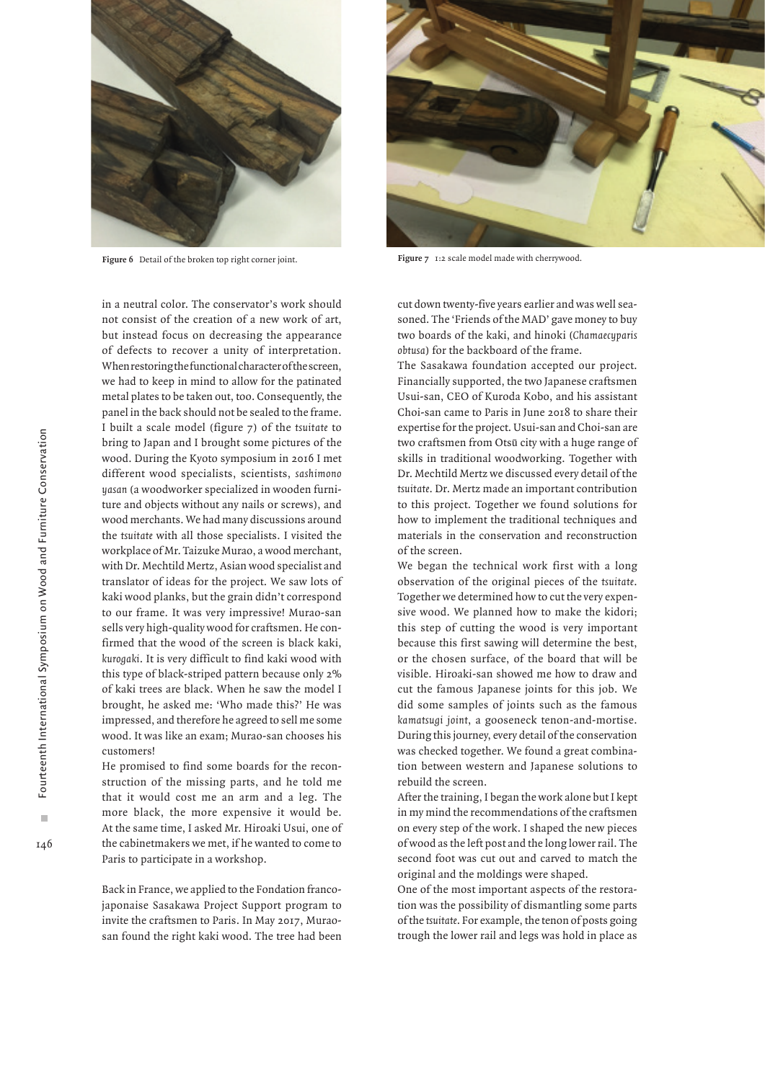

**Figure 6** Detail of the broken top right corner joint. **Figure 7** 1:2 scale model made with cherrywood.

in a neutral color. The conservator's work should not consist of the creation of a new work of art, but instead focus on decreasing the appearance of defects to recover a unity of interpretation. When restoring the functional character of the screen, we had to keep in mind to allow for the patinated metal plates to be taken out, too. Consequently, the panel in the back should not be sealed to the frame. I built a scale model (figure 7) of the *tsuitate* to bring to Japan and I brought some pictures of the wood. During the Kyoto symposium in 2016 I met different wood specialists, scientists, *sashimono yasan* (a woodworker specialized in wooden furniture and objects without any nails or screws), and wood merchants. We had many discussions around the *tsuitate* with all those specialists. I visited the workplace of Mr. Taizuke Murao, a wood merchant, with Dr. Mechtild Mertz, Asian wood specialist and translator of ideas for the project. We saw lots of kaki wood planks, but the grain didn't correspond to our frame. It was very impressive! Murao-san sells very high-quality wood for craftsmen. He confirmed that the wood of the screen is black kaki, *kurogaki*. It is very difficult to find kaki wood with this type of black-striped pattern because only 2% of kaki trees are black. When he saw the model I brought, he asked me: 'Who made this?' He was impressed, and therefore he agreed to sell me some wood. It was like an exam; Murao-san chooses his customers!

He promised to find some boards for the reconstruction of the missing parts, and he told me that it would cost me an arm and a leg. The more black, the more expensive it would be. At the same time, I asked Mr. Hiroaki Usui, one of the cabinetmakers we met, if he wanted to come to Paris to participate in a workshop.

Back in France, we applied to the Fondation francojaponaise Sasakawa Project Support program to invite the craftsmen to Paris. In May 2017, Muraosan found the right kaki wood. The tree had been



cut down twenty-five years earlier and was well seasoned. The 'Friends of the MAD' gave money to buy two boards of the kaki, and hinoki (*Chamaecyparis obtusa*) for the backboard of the frame.

The Sasakawa foundation accepted our project. Financially supported, the two Japanese craftsmen Usui-san, CEO of Kuroda Kobo, and his assistant Choi-san came to Paris in June 2018 to share their expertise for the project. Usui-san and Choi-san are two craftsmen from Otsū city with a huge range of skills in traditional woodworking. Together with Dr. Mechtild Mertz we discussed every detail of the *tsuitate*. Dr. Mertz made an important contribution to this project. Together we found solutions for how to implement the traditional techniques and materials in the conservation and reconstruction of the screen.

We began the technical work first with a long observation of the original pieces of the *tsuitate*. Together we determined how to cut the very expensive wood. We planned how to make the kidori; this step of cutting the wood is very important because this first sawing will determine the best, or the chosen surface, of the board that will be visible. Hiroaki-san showed me how to draw and cut the famous Japanese joints for this job. We did some samples of joints such as the famous *kamatsugi joint*, a gooseneck tenon-and-mortise. During this journey, every detail of the conservation was checked together. We found a great combination between western and Japanese solutions to rebuild the screen.

After the training, I began the work alone but I kept in my mind the recommendations of the craftsmen on every step of the work. I shaped the new pieces of wood as the left post and the long lower rail. The second foot was cut out and carved to match the original and the moldings were shaped.

One of the most important aspects of the restoration was the possibility of dismantling some parts of the *tsuitate*. For example, the tenon of posts going trough the lower rail and legs was hold in place as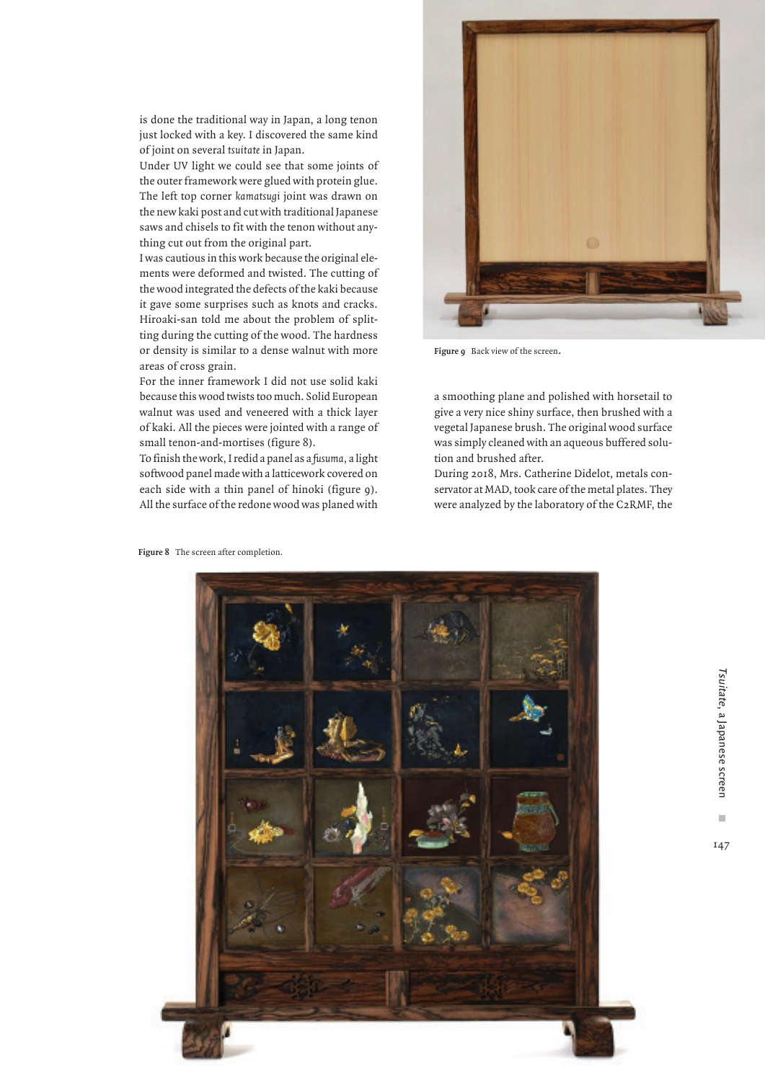is done the traditional way in Japan, a long tenon just locked with a key. I discovered the same kind of joint on several *tsuitate* in Japan.

Under UV light we could see that some joints of the outer framework were glued with protein glue. The left top corner *kamatsugi* joint was drawn on the new kaki post and cut with traditional Japanese saws and chisels to fit with the tenon without anything cut out from the original part.

I was cautious in this work because the original elements were deformed and twisted. The cutting of the wood integrated the defects of the kaki because it gave some surprises such as knots and cracks. Hiroaki-san told me about the problem of splitting during the cutting of the wood. The hardness or density is similar to a dense walnut with more areas of cross grain.

For the inner framework I did not use solid kaki because this wood twists too much. Solid European walnut was used and veneered with a thick layer of kaki. All the pieces were jointed with a range of small tenon-and-mortises (figure 8).

To finish the work, I redid a panel as a *fusuma*, a light softwood panel made with a latticework covered on each side with a thin panel of hinoki (figure 9). All the surface of the redone wood was planed with



Figure 9 Back view of the screen.

a smoothing plane and polished with horsetail to give a very nice shiny surface, then brushed with a vegetal Japanese brush. The original wood surface was simply cleaned with an aqueous buffered solution and brushed after.

During 2018, Mrs. Catherine Didelot, metals conservator at MAD, took care of the metal plates. They were analyzed by the laboratory of the C2RMF, the



m.

147